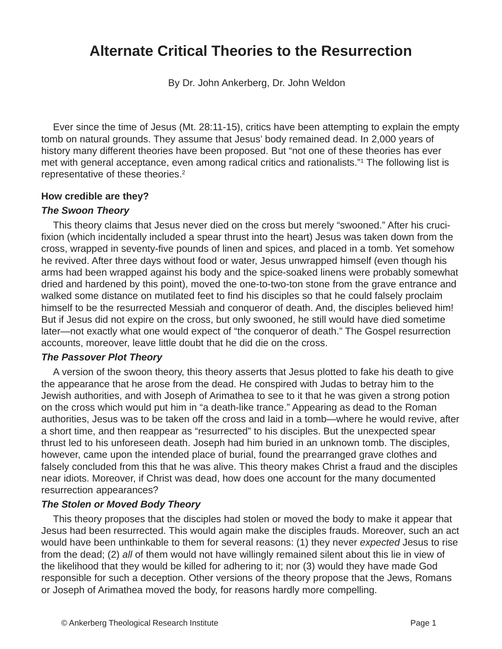# **Alternate Critical Theories to the Resurrection**

By Dr. John Ankerberg, Dr. John Weldon

Ever since the time of Jesus (Mt. 28:11-15), critics have been attempting to explain the empty tomb on natural grounds. They assume that Jesus' body remained dead. In 2,000 years of history many different theories have been proposed. But "not one of these theories has ever met with general acceptance, even among radical critics and rationalists."1 The following list is representative of these theories.<sup>2</sup>

## **How credible are they?**

## *The Swoon Theory*

This theory claims that Jesus never died on the cross but merely "swooned." After his crucifixion (which incidentally included a spear thrust into the heart) Jesus was taken down from the cross, wrapped in seventy-five pounds of linen and spices, and placed in a tomb. Yet somehow he revived. After three days without food or water, Jesus unwrapped himself (even though his arms had been wrapped against his body and the spice-soaked linens were probably somewhat dried and hardened by this point), moved the one-to-two-ton stone from the grave entrance and walked some distance on mutilated feet to find his disciples so that he could falsely proclaim himself to be the resurrected Messiah and conqueror of death. And, the disciples believed him! But if Jesus did not expire on the cross, but only swooned, he still would have died sometime later—not exactly what one would expect of "the conqueror of death." The Gospel resurrection accounts, moreover, leave little doubt that he did die on the cross.

## *The Passover Plot Theory*

A version of the swoon theory, this theory asserts that Jesus plotted to fake his death to give the appearance that he arose from the dead. He conspired with Judas to betray him to the Jewish authorities, and with Joseph of Arimathea to see to it that he was given a strong potion on the cross which would put him in "a death-like trance." Appearing as dead to the Roman authorities, Jesus was to be taken off the cross and laid in a tomb—where he would revive, after a short time, and then reappear as "resurrected" to his disciples. But the unexpected spear thrust led to his unforeseen death. Joseph had him buried in an unknown tomb. The disciples, however, came upon the intended place of burial, found the prearranged grave clothes and falsely concluded from this that he was alive. This theory makes Christ a fraud and the disciples near idiots. Moreover, if Christ was dead, how does one account for the many documented resurrection appearances?

# *The Stolen or Moved Body Theory*

This theory proposes that the disciples had stolen or moved the body to make it appear that Jesus had been resurrected. This would again make the disciples frauds. Moreover, such an act would have been unthinkable to them for several reasons: (1) they never *expected* Jesus to rise from the dead; (2) *all* of them would not have willingly remained silent about this lie in view of the likelihood that they would be killed for adhering to it; nor (3) would they have made God responsible for such a deception. Other versions of the theory propose that the Jews, Romans or Joseph of Arimathea moved the body, for reasons hardly more compelling.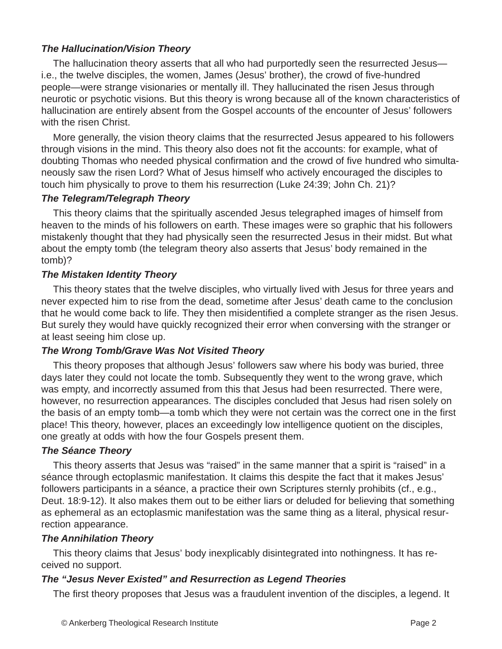# *The Hallucination/Vision Theory*

The hallucination theory asserts that all who had purportedly seen the resurrected Jesus i.e., the twelve disciples, the women, James (Jesus' brother), the crowd of five-hundred people—were strange visionaries or mentally ill. They hallucinated the risen Jesus through neurotic or psychotic visions. But this theory is wrong because all of the known characteristics of hallucination are entirely absent from the Gospel accounts of the encounter of Jesus' followers with the risen Christ.

More generally, the vision theory claims that the resurrected Jesus appeared to his followers through visions in the mind. This theory also does not fit the accounts: for example, what of doubting Thomas who needed physical confirmation and the crowd of five hundred who simultaneously saw the risen Lord? What of Jesus himself who actively encouraged the disciples to touch him physically to prove to them his resurrection (Luke 24:39; John Ch. 21)?

## *The Telegram/Telegraph Theory*

This theory claims that the spiritually ascended Jesus telegraphed images of himself from heaven to the minds of his followers on earth. These images were so graphic that his followers mistakenly thought that they had physically seen the resurrected Jesus in their midst. But what about the empty tomb (the telegram theory also asserts that Jesus' body remained in the tomb)?

## *The Mistaken Identity Theory*

This theory states that the twelve disciples, who virtually lived with Jesus for three years and never expected him to rise from the dead, sometime after Jesus' death came to the conclusion that he would come back to life. They then misidentified a complete stranger as the risen Jesus. But surely they would have quickly recognized their error when conversing with the stranger or at least seeing him close up.

## *The Wrong Tomb/Grave Was Not Visited Theory*

This theory proposes that although Jesus' followers saw where his body was buried, three days later they could not locate the tomb. Subsequently they went to the wrong grave, which was empty, and incorrectly assumed from this that Jesus had been resurrected. There were, however, no resurrection appearances. The disciples concluded that Jesus had risen solely on the basis of an empty tomb—a tomb which they were not certain was the correct one in the first place! This theory, however, places an exceedingly low intelligence quotient on the disciples, one greatly at odds with how the four Gospels present them.

## *The Séance Theory*

This theory asserts that Jesus was "raised" in the same manner that a spirit is "raised" in a séance through ectoplasmic manifestation. It claims this despite the fact that it makes Jesus' followers participants in a séance, a practice their own Scriptures sternly prohibits (cf., e.g., Deut. 18:9-12). It also makes them out to be either liars or deluded for believing that something as ephemeral as an ectoplasmic manifestation was the same thing as a literal, physical resurrection appearance.

## *The Annihilation Theory*

This theory claims that Jesus' body inexplicably disintegrated into nothingness. It has received no support.

## *The "Jesus Never Existed" and Resurrection as Legend Theories*

The first theory proposes that Jesus was a fraudulent invention of the disciples, a legend. It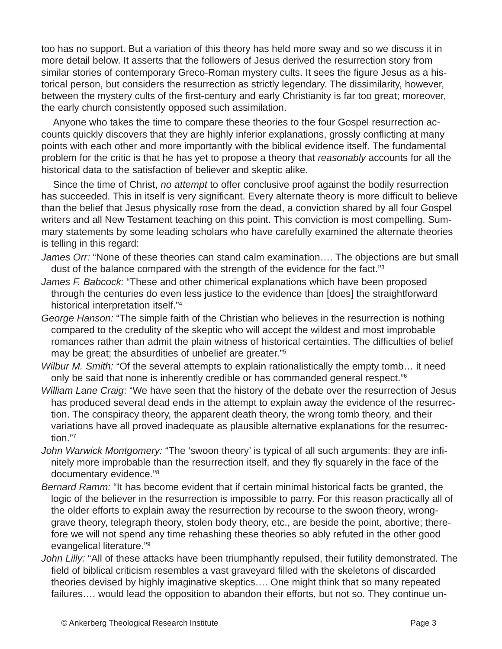too has no support. But a variation of this theory has held more sway and so we discuss it in more detail below. It asserts that the followers of Jesus derived the resurrection story from similar stories of contemporary Greco-Roman mystery cults. It sees the figure Jesus as a historical person, but considers the resurrection as strictly legendary. The dissimilarity, however, between the mystery cults of the first-century and early Christianity is far too great; moreover, the early church consistently opposed such assimilation.

Anyone who takes the time to compare these theories to the four Gospel resurrection accounts quickly discovers that they are highly inferior explanations, grossly conflicting at many points with each other and more importantly with the biblical evidence itself. The fundamental problem for the critic is that he has yet to propose a theory that *reasonably* accounts for all the historical data to the satisfaction of believer and skeptic alike.

Since the time of Christ, *no attempt* to offer conclusive proof against the bodily resurrection has succeeded. This in itself is very significant. Every alternate theory is more difficult to believe than the belief that Jesus physically rose from the dead, a conviction shared by all four Gospel writers and all New Testament teaching on this point. This conviction is most compelling. Summary statements by some leading scholars who have carefully examined the alternate theories is telling in this regard:

- *James Orr:* "None of these theories can stand calm examination…. The objections are but small dust of the balance compared with the strength of the evidence for the fact."3
- *James F. Babcock:* "These and other chimerical explanations which have been proposed through the centuries do even less justice to the evidence than [does] the straightforward historical interpretation itself."4
- *George Hanson:* "The simple faith of the Christian who believes in the resurrection is nothing compared to the credulity of the skeptic who will accept the wildest and most improbable romances rather than admit the plain witness of historical certainties. The difficulties of belief may be great; the absurdities of unbelief are greater."5
- *Wilbur M. Smith:* "Of the several attempts to explain rationalistically the empty tomb… it need only be said that none is inherently credible or has commanded general respect."6
- *William Lane Craig*: "We have seen that the history of the debate over the resurrection of Jesus has produced several dead ends in the attempt to explain away the evidence of the resurrection. The conspiracy theory, the apparent death theory, the wrong tomb theory, and their variations have all proved inadequate as plausible alternative explanations for the resurrection."7
- *John Warwick Montgomery:* "The 'swoon theory' is typical of all such arguments: they are infinitely more improbable than the resurrection itself, and they fly squarely in the face of the documentary evidence."8
- *Bernard Ramm:* "It has become evident that if certain minimal historical facts be granted, the logic of the believer in the resurrection is impossible to parry. For this reason practically all of the older efforts to explain away the resurrection by recourse to the swoon theory, wronggrave theory, telegraph theory, stolen body theory, etc., are beside the point, abortive; therefore we will not spend any time rehashing these theories so ably refuted in the other good evangelical literature."9
- *John Lilly:* "All of these attacks have been triumphantly repulsed, their futility demonstrated. The field of biblical criticism resembles a vast graveyard filled with the skeletons of discarded theories devised by highly imaginative skeptics…. One might think that so many repeated failures.... would lead the opposition to abandon their efforts, but not so. They continue un-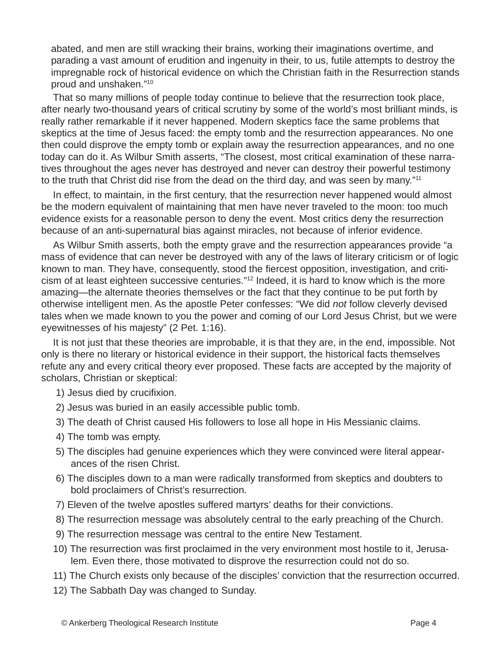abated, and men are still wracking their brains, working their imaginations overtime, and parading a vast amount of erudition and ingenuity in their, to us, futile attempts to destroy the impregnable rock of historical evidence on which the Christian faith in the Resurrection stands proud and unshaken."10

That so many millions of people today continue to believe that the resurrection took place, after nearly two-thousand years of critical scrutiny by some of the world's most brilliant minds, is really rather remarkable if it never happened. Modern skeptics face the same problems that skeptics at the time of Jesus faced: the empty tomb and the resurrection appearances. No one then could disprove the empty tomb or explain away the resurrection appearances, and no one today can do it. As Wilbur Smith asserts, "The closest, most critical examination of these narratives throughout the ages never has destroyed and never can destroy their powerful testimony to the truth that Christ did rise from the dead on the third day, and was seen by many."<sup>11</sup>

In effect, to maintain, in the first century, that the resurrection never happened would almost be the modern equivalent of maintaining that men have never traveled to the moon: too much evidence exists for a reasonable person to deny the event. Most critics deny the resurrection because of an anti-supernatural bias against miracles, not because of inferior evidence.

As Wilbur Smith asserts, both the empty grave and the resurrection appearances provide "a mass of evidence that can never be destroyed with any of the laws of literary criticism or of logic known to man. They have, consequently, stood the fiercest opposition, investigation, and criticism of at least eighteen successive centuries."12 Indeed, it is hard to know which is the more amazing—the alternate theories themselves or the fact that they continue to be put forth by otherwise intelligent men. As the apostle Peter confesses: "We did *not* follow cleverly devised tales when we made known to you the power and coming of our Lord Jesus Christ, but we were eyewitnesses of his majesty" (2 Pet. 1:16).

It is not just that these theories are improbable, it is that they are, in the end, impossible. Not only is there no literary or historical evidence in their support, the historical facts themselves refute any and every critical theory ever proposed. These facts are accepted by the majority of scholars, Christian or skeptical:

- 1) Jesus died by crucifixion.
- 2) Jesus was buried in an easily accessible public tomb.
- 3) The death of Christ caused His followers to lose all hope in His Messianic claims.
- 4) The tomb was empty.
- 5) The disciples had genuine experiences which they were convinced were literal appearances of the risen Christ.
- 6) The disciples down to a man were radically transformed from skeptics and doubters to bold proclaimers of Christ's resurrection.
- 7) Eleven of the twelve apostles suffered martyrs' deaths for their convictions.
- 8) The resurrection message was absolutely central to the early preaching of the Church.
- 9) The resurrection message was central to the entire New Testament.
- 10) The resurrection was first proclaimed in the very environment most hostile to it, Jerusalem. Even there, those motivated to disprove the resurrection could not do so.
- 11) The Church exists only because of the disciples' conviction that the resurrection occurred.
- 12) The Sabbath Day was changed to Sunday.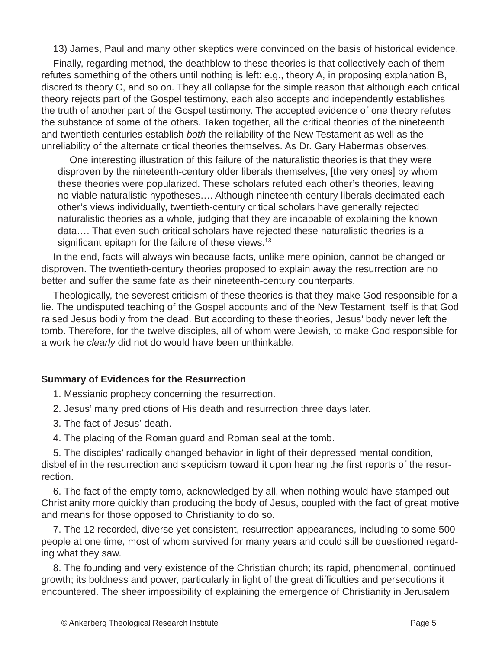13) James, Paul and many other skeptics were convinced on the basis of historical evidence.

Finally, regarding method, the deathblow to these theories is that collectively each of them refutes something of the others until nothing is left: e.g., theory A, in proposing explanation B, discredits theory C, and so on. They all collapse for the simple reason that although each critical theory rejects part of the Gospel testimony, each also accepts and independently establishes the truth of another part of the Gospel testimony. The accepted evidence of one theory refutes the substance of some of the others. Taken together, all the critical theories of the nineteenth and twentieth centuries establish *both* the reliability of the New Testament as well as the unreliability of the alternate critical theories themselves. As Dr. Gary Habermas observes,

One interesting illustration of this failure of the naturalistic theories is that they were disproven by the nineteenth-century older liberals themselves, [the very ones] by whom these theories were popularized. These scholars refuted each other's theories, leaving no viable naturalistic hypotheses…. Although nineteenth-century liberals decimated each other's views individually, twentieth-century critical scholars have generally rejected naturalistic theories as a whole, judging that they are incapable of explaining the known data…. That even such critical scholars have rejected these naturalistic theories is a significant epitaph for the failure of these views.<sup>13</sup>

In the end, facts will always win because facts, unlike mere opinion, cannot be changed or disproven. The twentieth-century theories proposed to explain away the resurrection are no better and suffer the same fate as their nineteenth-century counterparts.

Theologically, the severest criticism of these theories is that they make God responsible for a lie. The undisputed teaching of the Gospel accounts and of the New Testament itself is that God raised Jesus bodily from the dead. But according to these theories, Jesus' body never left the tomb. Therefore, for the twelve disciples, all of whom were Jewish, to make God responsible for a work he *clearly* did not do would have been unthinkable.

## **Summary of Evidences for the Resurrection**

- 1. Messianic prophecy concerning the resurrection.
- 2. Jesus' many predictions of His death and resurrection three days later.
- 3. The fact of Jesus' death.
- 4. The placing of the Roman guard and Roman seal at the tomb.

5. The disciples' radically changed behavior in light of their depressed mental condition, disbelief in the resurrection and skepticism toward it upon hearing the first reports of the resurrection.

6. The fact of the empty tomb, acknowledged by all, when nothing would have stamped out Christianity more quickly than producing the body of Jesus, coupled with the fact of great motive and means for those opposed to Christianity to do so.

7. The 12 recorded, diverse yet consistent, resurrection appearances, including to some 500 people at one time, most of whom survived for many years and could still be questioned regarding what they saw.

8. The founding and very existence of the Christian church; its rapid, phenomenal, continued growth; its boldness and power, particularly in light of the great difficulties and persecutions it encountered. The sheer impossibility of explaining the emergence of Christianity in Jerusalem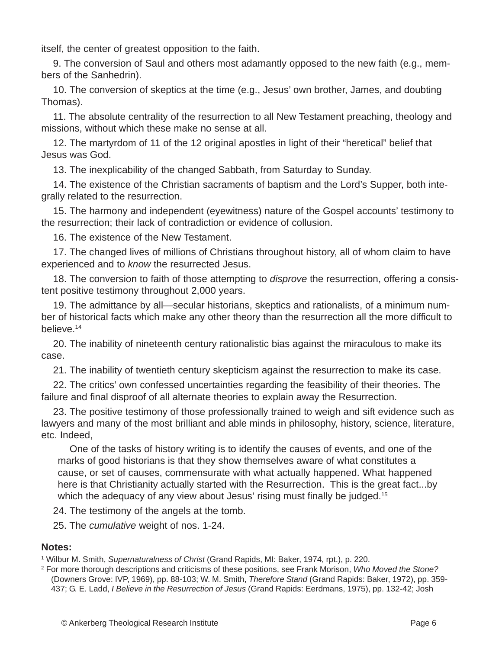itself, the center of greatest opposition to the faith.

9. The conversion of Saul and others most adamantly opposed to the new faith (e.g., members of the Sanhedrin).

10. The conversion of skeptics at the time (e.g., Jesus' own brother, James, and doubting Thomas).

11. The absolute centrality of the resurrection to all New Testament preaching, theology and missions, without which these make no sense at all.

12. The martyrdom of 11 of the 12 original apostles in light of their "heretical" belief that Jesus was God.

13. The inexplicability of the changed Sabbath, from Saturday to Sunday.

14. The existence of the Christian sacraments of baptism and the Lord's Supper, both integrally related to the resurrection.

15. The harmony and independent (eyewitness) nature of the Gospel accounts' testimony to the resurrection; their lack of contradiction or evidence of collusion.

16. The existence of the New Testament.

17. The changed lives of millions of Christians throughout history, all of whom claim to have experienced and to *know* the resurrected Jesus.

18. The conversion to faith of those attempting to *disprove* the resurrection, offering a consistent positive testimony throughout 2,000 years.

19. The admittance by all—secular historians, skeptics and rationalists, of a minimum number of historical facts which make any other theory than the resurrection all the more difficult to believe.14

20. The inability of nineteenth century rationalistic bias against the miraculous to make its case.

21. The inability of twentieth century skepticism against the resurrection to make its case.

22. The critics' own confessed uncertainties regarding the feasibility of their theories. The failure and final disproof of all alternate theories to explain away the Resurrection.

23. The positive testimony of those professionally trained to weigh and sift evidence such as lawyers and many of the most brilliant and able minds in philosophy, history, science, literature, etc. Indeed,

One of the tasks of history writing is to identify the causes of events, and one of the marks of good historians is that they show themselves aware of what constitutes a cause, or set of causes, commensurate with what actually happened. What happened here is that Christianity actually started with the Resurrection. This is the great fact...by which the adequacy of any view about Jesus' rising must finally be judged.<sup>15</sup>

24. The testimony of the angels at the tomb.

25. The *cumulative* weight of nos. 1-24.

# **Notes:**

1 Wilbur M. Smith, *Supernaturalness of Christ* (Grand Rapids, MI: Baker, 1974, rpt.), p. 220.

2 For more thorough descriptions and criticisms of these positions, see Frank Morison, *Who Moved the Stone?* (Downers Grove: IVP, 1969), pp. 88-103; W. M. Smith, *Therefore Stand* (Grand Rapids: Baker, 1972), pp. 359- 437; G. E. Ladd, *I Believe in the Resurrection of Jesus* (Grand Rapids: Eerdmans, 1975), pp. 132-42; Josh